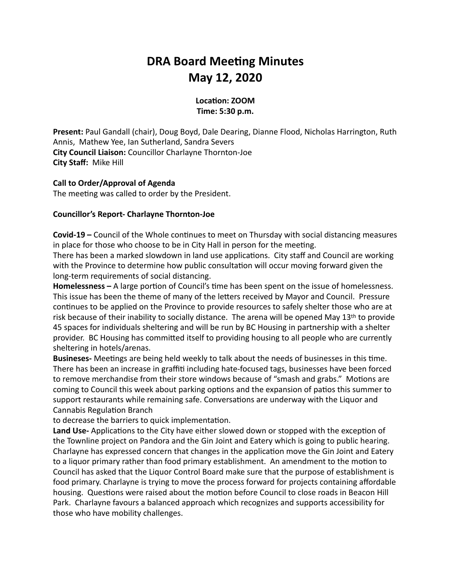# **DRA Board Meeting Minutes May 12, 2020**

## Location: **ZOOM Time: 5:30 p.m.**

**Present:** Paul Gandall (chair), Doug Boyd, Dale Dearing, Dianne Flood, Nicholas Harrington, Ruth Annis, Mathew Yee, Ian Sutherland, Sandra Severs **City Council Liaison:** Councillor Charlayne Thornton-Joe **City Staff: Mike Hill** 

## **Call to Order/Approval of Agenda**

The meeting was called to order by the President.

## **Councillor's Report- Charlayne Thornton-Joe**

**Covid-19** – Council of the Whole continues to meet on Thursday with social distancing measures in place for those who choose to be in City Hall in person for the meeting.

There has been a marked slowdown in land use applications. City staff and Council are working with the Province to determine how public consultation will occur moving forward given the long-term requirements of social distancing.

**Homelessness** – A large portion of Council's time has been spent on the issue of homelessness. This issue has been the theme of many of the letters received by Mayor and Council. Pressure continues to be applied on the Province to provide resources to safely shelter those who are at risk because of their inability to socially distance. The arena will be opened May  $13<sup>th</sup>$  to provide 45 spaces for individuals sheltering and will be run by BC Housing in partnership with a shelter provider. BC Housing has committed itself to providing housing to all people who are currently sheltering in hotels/arenas.

**Busineses-** Meetings are being held weekly to talk about the needs of businesses in this time. There has been an increase in graffiti including hate-focused tags, businesses have been forced to remove merchandise from their store windows because of "smash and grabs." Motions are coming to Council this week about parking options and the expansion of patios this summer to support restaurants while remaining safe. Conversations are underway with the Liquor and Cannabis Regulation Branch

to decrease the barriers to quick implementation.

**Land Use-** Applications to the City have either slowed down or stopped with the exception of the Townline project on Pandora and the Gin Joint and Eatery which is going to public hearing. Charlayne has expressed concern that changes in the application move the Gin Joint and Eatery to a liquor primary rather than food primary establishment. An amendment to the motion to Council has asked that the Liquor Control Board make sure that the purpose of establishment is food primary. Charlayne is trying to move the process forward for projects containing affordable housing. Questions were raised about the motion before Council to close roads in Beacon Hill Park. Charlayne favours a balanced approach which recognizes and supports accessibility for those who have mobility challenges.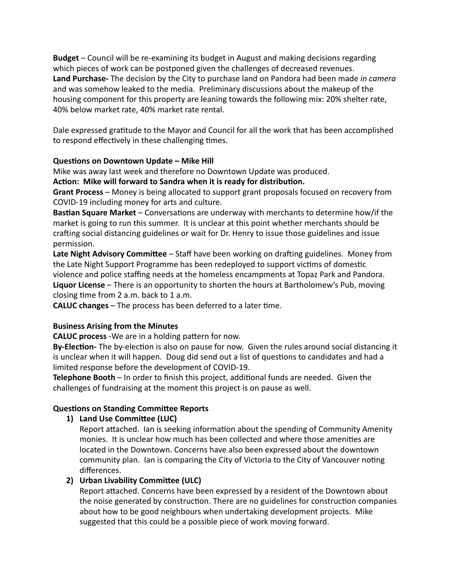**Budget** – Council will be re-examining its budget in August and making decisions regarding which pieces of work can be postponed given the challenges of decreased revenues. **Land Purchase-** The decision by the City to purchase land on Pandora had been made in camera and was somehow leaked to the media. Preliminary discussions about the makeup of the housing component for this property are leaning towards the following mix: 20% shelter rate, 40% below market rate, 40% market rate rental.

Dale expressed gratitude to the Mayor and Council for all the work that has been accomplished to respond effectively in these challenging times.

# **Questions on Downtown Update - Mike Hill**

Mike was away last week and therefore no Downtown Update was produced.

Action: Mike will forward to Sandra when it is ready for distribution.

**Grant Process** – Money is being allocated to support grant proposals focused on recovery from COVID-19 including money for arts and culture.

**Bastian Square Market** – Conversations are underway with merchants to determine how/if the market is going to run this summer. It is unclear at this point whether merchants should be crafting social distancing guidelines or wait for Dr. Henry to issue those guidelines and issue permission. 

**Late Night Advisory Committee** – Staff have been working on drafting guidelines. Money from the Late Night Support Programme has been redeployed to support victims of domestic violence and police staffing needs at the homeless encampments at Topaz Park and Pandora. **Liquor License** – There is an opportunity to shorten the hours at Bartholomew's Pub, moving closing time from 2 a.m. back to 1 a.m.

**CALUC** changes - The process has been deferred to a later time.

# **Business Arising from the Minutes**

**CALUC** process -We are in a holding pattern for now.

By-Election- The by-election is also on pause for now. Given the rules around social distancing it is unclear when it will happen. Doug did send out a list of questions to candidates and had a limited response before the development of COVID-19.

**Telephone Booth** – In order to finish this project, additional funds are needed. Given the challenges of fundraising at the moment this project is on pause as well.

# **Questions on Standing Committee Reports**

**1)** Land Use Committee (LUC)

Report attached. Ian is seeking information about the spending of Community Amenity monies. It is unclear how much has been collected and where those amenities are located in the Downtown. Concerns have also been expressed about the downtown community plan. Ian is comparing the City of Victoria to the City of Vancouver noting differences. 

# **2)** Urban Livability Committee (ULC)

Report attached. Concerns have been expressed by a resident of the Downtown about the noise generated by construction. There are no guidelines for construction companies about how to be good neighbours when undertaking development projects. Mike suggested that this could be a possible piece of work moving forward.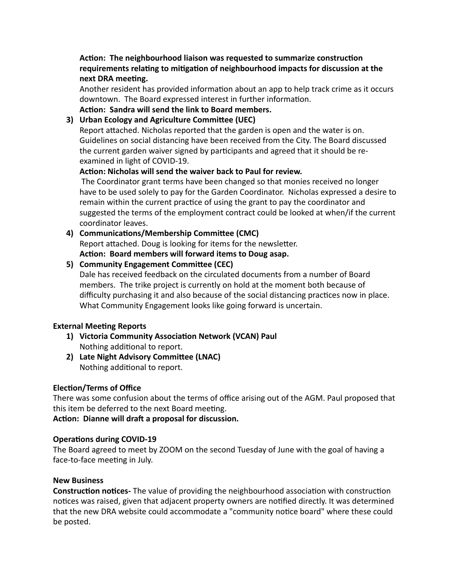Action: The neighbourhood liaison was requested to summarize construction requirements relating to mitigation of neighbourhood impacts for discussion at the **next DRA meeting.** 

Another resident has provided information about an app to help track crime as it occurs downtown. The Board expressed interest in further information.

Action: Sandra will send the link to Board members.

# **3)** Urban Ecology and Agriculture Committee (UEC)

Report attached. Nicholas reported that the garden is open and the water is on. Guidelines on social distancing have been received from the City. The Board discussed the current garden waiver signed by participants and agreed that it should be reexamined in light of COVID-19.

# Action: Nicholas will send the waiver back to Paul for review.

The Coordinator grant terms have been changed so that monies received no longer have to be used solely to pay for the Garden Coordinator. Nicholas expressed a desire to remain within the current practice of using the grant to pay the coordinator and suggested the terms of the employment contract could be looked at when/if the current coordinator leaves.

4) **Communications/Membership Committee (CMC)** Report attached. Doug is looking for items for the newsletter. Action: Board members will forward items to Doug asap.

# **5) Community Engagement Committee (CEC)**

Dale has received feedback on the circulated documents from a number of Board members. The trike project is currently on hold at the moment both because of difficulty purchasing it and also because of the social distancing practices now in place. What Community Engagement looks like going forward is uncertain.

# **External Meeting Reports**

- 1) Victoria Community Association Network (VCAN) Paul Nothing additional to report.
- **2)** Late Night Advisory Committee (LNAC) Nothing additional to report.

# **Election/Terms of Office**

There was some confusion about the terms of office arising out of the AGM. Paul proposed that this item be deferred to the next Board meeting.

Action: Dianne will draft a proposal for discussion.

# **Operations during COVID-19**

The Board agreed to meet by ZOOM on the second Tuesday of June with the goal of having a face-to-face meeting in July.

## **New Business**

**Construction notices-** The value of providing the neighbourhood association with construction notices was raised, given that adjacent property owners are notified directly. It was determined that the new DRA website could accommodate a "community notice board" where these could be posted.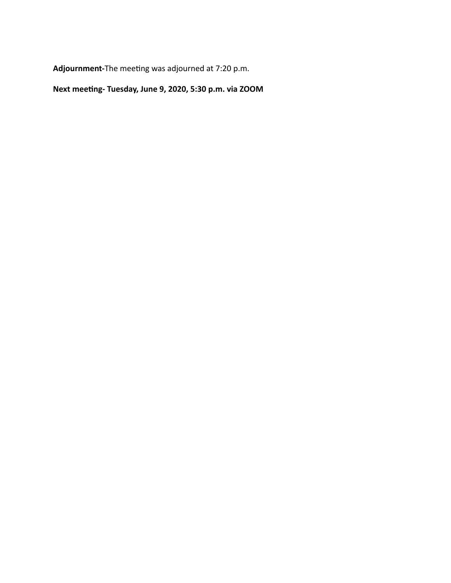Adjournment-The meeting was adjourned at 7:20 p.m.

Next meeting- Tuesday, June 9, 2020, 5:30 p.m. via ZOOM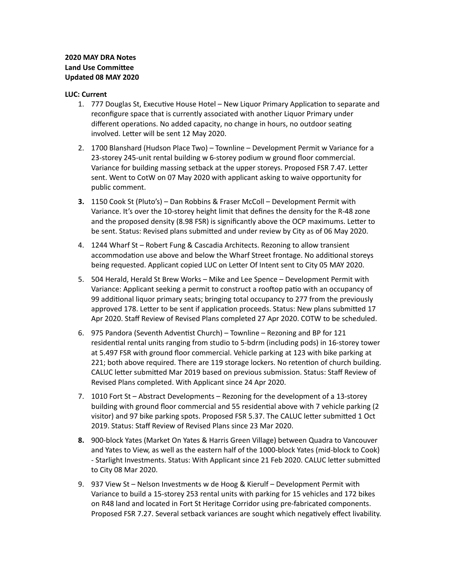### **2020 MAY DRA Notes Land Use Committee Updated 08 MAY 2020**

#### **LUC: Current**

- 1. 777 Douglas St, Executive House Hotel New Liquor Primary Application to separate and reconfigure space that is currently associated with another Liquor Primary under different operations. No added capacity, no change in hours, no outdoor seating involved. Letter will be sent 12 May 2020.
- 2. 1700 Blanshard (Hudson Place Two) Townline Development Permit w Variance for a 23-storey 245-unit rental building w 6-storey podium w ground floor commercial. Variance for building massing setback at the upper storeys. Proposed FSR 7.47. Letter sent. Went to CotW on 07 May 2020 with applicant asking to waive opportunity for public comment.
- 1150 Cook St (Pluto's) Dan Robbins & Fraser McColl Development Permit with **3.** Variance. It's over the 10-storey height limit that defines the density for the R-48 zone and the proposed density (8.98 FSR) is significantly above the OCP maximums. Letter to be sent. Status: Revised plans submitted and under review by City as of 06 May 2020.
- 4. 1244 Wharf St Robert Fung & Cascadia Architects. Rezoning to allow transient accommodation use above and below the Wharf Street frontage. No additional storeys being requested. Applicant copied LUC on Letter Of Intent sent to City 05 MAY 2020.
- 5. 504 Herald, Herald St Brew Works Mike and Lee Spence Development Permit with Variance: Applicant seeking a permit to construct a rooftop patio with an occupancy of 99 additional liquor primary seats; bringing total occupancy to 277 from the previously approved 178. Letter to be sent if application proceeds. Status: New plans submitted 17 Apr 2020. Staff Review of Revised Plans completed 27 Apr 2020. COTW to be scheduled.
- 6. 975 Pandora (Seventh Adventist Church) Townline Rezoning and BP for 121 residential rental units ranging from studio to 5-bdrm (including pods) in 16-storey tower at 5.497 FSR with ground floor commercial. Vehicle parking at 123 with bike parking at 221; both above required. There are 119 storage lockers. No retention of church building. CALUC letter submitted Mar 2019 based on previous submission. Status: Staff Review of Revised Plans completed. With Applicant since 24 Apr 2020.
- 7. 1010 Fort St Abstract Developments Rezoning for the development of a 13-storey building with ground floor commercial and 55 residential above with 7 vehicle parking (2) visitor) and 97 bike parking spots. Proposed FSR 5.37. The CALUC letter submitted 1 Oct 2019. Status: Staff Review of Revised Plans since 23 Mar 2020.
- 900-block Yates (Market On Yates & Harris Green Village) between Quadra to Vancouver **8.** and Yates to View, as well as the eastern half of the 1000-block Yates (mid-block to Cook) - Starlight Investments. Status: With Applicant since 21 Feb 2020. CALUC letter submitted to City 08 Mar 2020.
- 9. 937 View St Nelson Investments w de Hoog & Kierulf Development Permit with Variance to build a 15-storey 253 rental units with parking for 15 vehicles and 172 bikes on R48 land and located in Fort St Heritage Corridor using pre-fabricated components. Proposed FSR 7.27. Several setback variances are sought which negatively effect livability.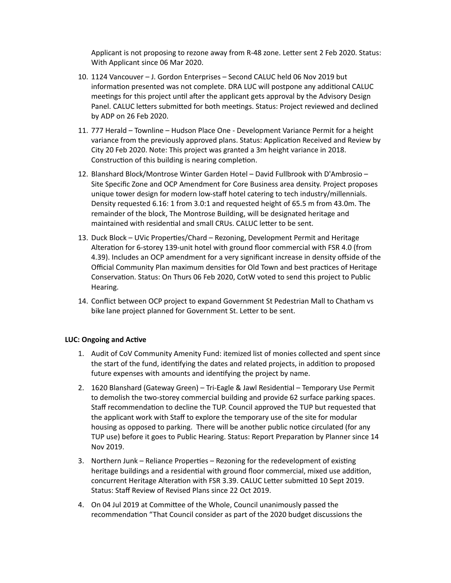Applicant is not proposing to rezone away from R-48 zone. Letter sent 2 Feb 2020. Status: With Applicant since 06 Mar 2020.

- 10. 1124 Vancouver J. Gordon Enterprises Second CALUC held 06 Nov 2019 but information presented was not complete. DRA LUC will postpone any additional CALUC meetings for this project until after the applicant gets approval by the Advisory Design Panel. CALUC letters submitted for both meetings. Status: Project reviewed and declined by ADP on 26 Feb 2020.
- 11. 777 Herald Townline Hudson Place One Development Variance Permit for a height variance from the previously approved plans. Status: Application Received and Review by City 20 Feb 2020. Note: This project was granted a 3m height variance in 2018. Construction of this building is nearing completion.
- 12. Blanshard Block/Montrose Winter Garden Hotel David Fullbrook with D'Ambrosio -Site Specific Zone and OCP Amendment for Core Business area density. Project proposes unique tower design for modern low-staff hotel catering to tech industry/millennials. Density requested 6.16: 1 from 3.0:1 and requested height of 65.5 m from 43.0m. The remainder of the block, The Montrose Building, will be designated heritage and maintained with residential and small CRUs. CALUC letter to be sent.
- 13. Duck Block UVic Properties/Chard Rezoning, Development Permit and Heritage Alteration for 6-storey 139-unit hotel with ground floor commercial with FSR 4.0 (from 4.39). Includes an OCP amendment for a very significant increase in density offside of the Official Community Plan maximum densities for Old Town and best practices of Heritage Conservation. Status: On Thurs 06 Feb 2020, CotW voted to send this project to Public Hearing.
- 14. Conflict between OCP project to expand Government St Pedestrian Mall to Chatham vs bike lane project planned for Government St. Letter to be sent.

### **LUC: Ongoing and Active**

- 1. Audit of CoV Community Amenity Fund: itemized list of monies collected and spent since the start of the fund, identifying the dates and related projects, in addition to proposed future expenses with amounts and identifying the project by name.
- 2. 1620 Blanshard (Gateway Green) Tri-Eagle & Jawl Residential Temporary Use Permit to demolish the two-storey commercial building and provide 62 surface parking spaces. Staff recommendation to decline the TUP. Council approved the TUP but requested that the applicant work with Staff to explore the temporary use of the site for modular housing as opposed to parking. There will be another public notice circulated (for any TUP use) before it goes to Public Hearing. Status: Report Preparation by Planner since 14 Nov 2019.
- 3. Northern Junk Reliance Properties Rezoning for the redevelopment of existing heritage buildings and a residential with ground floor commercial, mixed use addition, concurrent Heritage Alteration with FSR 3.39. CALUC Letter submitted 10 Sept 2019. Status: Staff Review of Revised Plans since 22 Oct 2019.
- 4. On 04 Jul 2019 at Committee of the Whole, Council unanimously passed the recommendation "That Council consider as part of the 2020 budget discussions the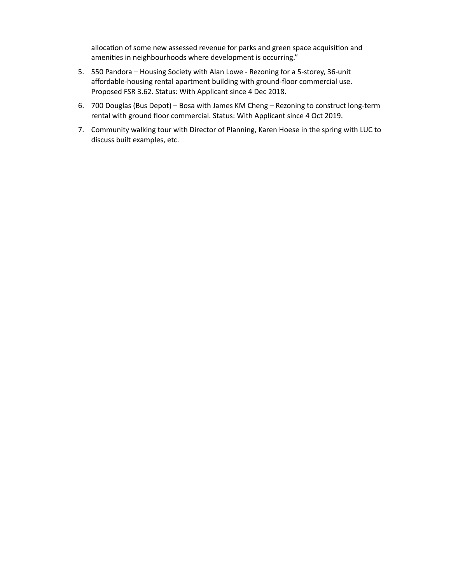allocation of some new assessed revenue for parks and green space acquisition and amenities in neighbourhoods where development is occurring."

- 5. 550 Pandora Housing Society with Alan Lowe Rezoning for a 5-storey, 36-unit affordable-housing rental apartment building with ground-floor commercial use. Proposed FSR 3.62. Status: With Applicant since 4 Dec 2018.
- 700 Douglas (Bus Depot) Bosa with James KM Cheng Rezoning to construct long-term 6. rental with ground floor commercial. Status: With Applicant since 4 Oct 2019.
- 7. Community walking tour with Director of Planning, Karen Hoese in the spring with LUC to discuss built examples, etc.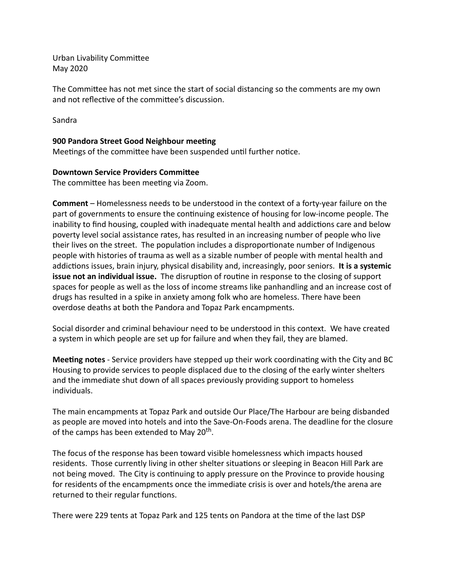Urban Livability Committee May 2020

The Committee has not met since the start of social distancing so the comments are my own and not reflective of the committee's discussion.

Sandra

## **900 Pandora Street Good Neighbour meeting**

Meetings of the committee have been suspended until further notice.

### **Downtown Service Providers Committee**

The committee has been meeting via Zoom.

**Comment** – Homelessness needs to be understood in the context of a forty-year failure on the part of governments to ensure the continuing existence of housing for low-income people. The inability to find housing, coupled with inadequate mental health and addictions care and below poverty level social assistance rates, has resulted in an increasing number of people who live their lives on the street. The population includes a disproportionate number of Indigenous people with histories of trauma as well as a sizable number of people with mental health and addictions issues, brain injury, physical disability and, increasingly, poor seniors. It is a systemic **issue not an individual issue.** The disruption of routine in response to the closing of support spaces for people as well as the loss of income streams like panhandling and an increase cost of drugs has resulted in a spike in anxiety among folk who are homeless. There have been overdose deaths at both the Pandora and Topaz Park encampments.

Social disorder and criminal behaviour need to be understood in this context. We have created a system in which people are set up for failure and when they fail, they are blamed.

**Meeting notes** - Service providers have stepped up their work coordinating with the City and BC Housing to provide services to people displaced due to the closing of the early winter shelters and the immediate shut down of all spaces previously providing support to homeless individuals.

The main encampments at Topaz Park and outside Our Place/The Harbour are being disbanded as people are moved into hotels and into the Save-On-Foods arena. The deadline for the closure of the camps has been extended to May 20<sup>th</sup>.

The focus of the response has been toward visible homelessness which impacts housed residents. Those currently living in other shelter situations or sleeping in Beacon Hill Park are not being moved. The City is continuing to apply pressure on the Province to provide housing for residents of the encampments once the immediate crisis is over and hotels/the arena are returned to their regular functions.

There were 229 tents at Topaz Park and 125 tents on Pandora at the time of the last DSP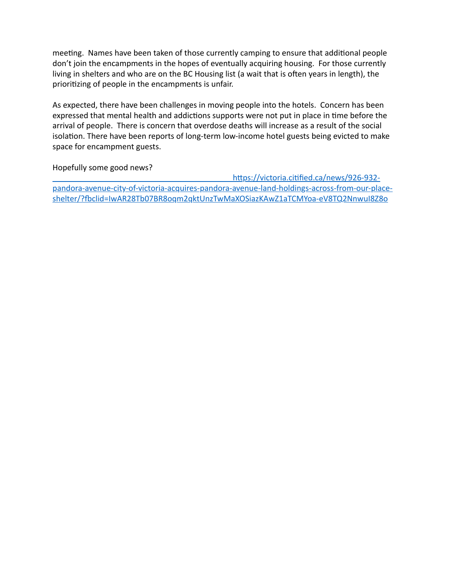meeting. Names have been taken of those currently camping to ensure that additional people don't join the encampments in the hopes of eventually acquiring housing. For those currently living in shelters and who are on the BC Housing list (a wait that is often years in length), the prioritizing of people in the encampments is unfair.

As expected, there have been challenges in moving people into the hotels. Concern has been expressed that mental health and addictions supports were not put in place in time before the arrival of people. There is concern that overdose deaths will increase as a result of the social isolation. There have been reports of long-term low-income hotel guests being evicted to make space for encampment guests.

Hopefully some good news?

https://victoria.citified.ca/news/926-932pandora-avenue-city-of-victoria-acquires-pandora-avenue-land-holdings-across-from-our-placeshelter/?fbclid=IwAR28Tb07BR8oqm2qktUnzTwMaXOSiazKAwZ1aTCMYoa-eV8TQ2NnwuI8Z8o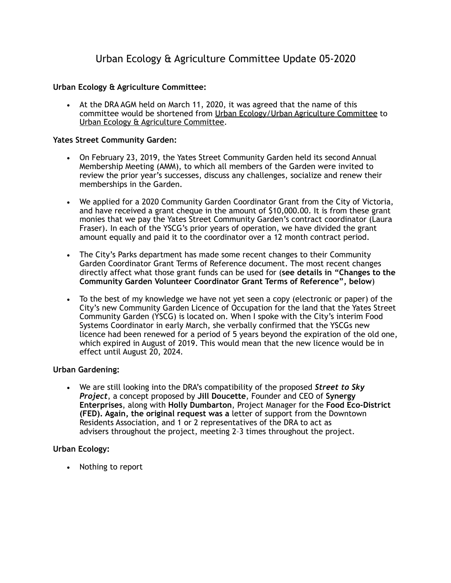# Urban Ecology & Agriculture Committee Update 05-2020

## **Urban Ecology & Agriculture Committee:**

• At the DRA AGM held on March 11, 2020, it was agreed that the name of this committee would be shortened from Urban Ecology/Urban Agriculture Committee to Urban Ecology & Agriculture Committee.

### **Yates Street Community Garden:**

- On February 23, 2019, the Yates Street Community Garden held its second Annual Membership Meeting (AMM), to which all members of the Garden were invited to review the prior year's successes, discuss any challenges, socialize and renew their memberships in the Garden.
- We applied for a 2020 Community Garden Coordinator Grant from the City of Victoria, and have received a grant cheque in the amount of \$10,000.00. It is from these grant monies that we pay the Yates Street Community Garden's contract coordinator (Laura Fraser). In each of the YSCG's prior years of operation, we have divided the grant amount equally and paid it to the coordinator over a 12 month contract period.
- The City's Parks department has made some recent changes to their Community Garden Coordinator Grant Terms of Reference document. The most recent changes directly affect what those grant funds can be used for (**see details in "Changes to the Community Garden Volunteer Coordinator Grant Terms of Reference", below**)
- To the best of my knowledge we have not yet seen a copy (electronic or paper) of the City's new Community Garden Licence of Occupation for the land that the Yates Street Community Garden (YSCG) is located on. When I spoke with the City's interim Food Systems Coordinator in early March, she verbally confirmed that the YSCGs new licence had been renewed for a period of 5 years beyond the expiration of the old one, which expired in August of 2019. This would mean that the new licence would be in effect until August 20, 2024.

## **Urban Gardening:**

• We are still looking into the DRA's compatibility of the proposed *Street to Sky Project*, a concept proposed by **Jill Doucette**, Founder and CEO of **Synergy Enterprises**, along with **Holly Dumbarton**, Project Manager for the **Food Eco-District (FED). Again, the original request was a** letter of support from the Downtown Residents Association, and 1 or 2 representatives of the DRA to act as advisers throughout the project, meeting 2–3 times throughout the project.

### **Urban Ecology:**

• Nothing to report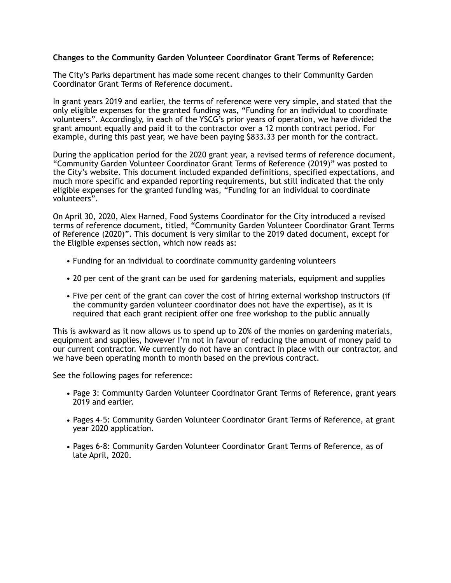### **Changes to the Community Garden Volunteer Coordinator Grant Terms of Reference:**

The City's Parks department has made some recent changes to their Community Garden Coordinator Grant Terms of Reference document.

In grant years 2019 and earlier, the terms of reference were very simple, and stated that the only eligible expenses for the granted funding was, "Funding for an individual to coordinate volunteers". Accordingly, in each of the YSCG's prior years of operation, we have divided the grant amount equally and paid it to the contractor over a 12 month contract period. For example, during this past year, we have been paying \$833.33 per month for the contract.

During the application period for the 2020 grant year, a revised terms of reference document, "Community Garden Volunteer Coordinator Grant Terms of Reference (2019)" was posted to the City's website. This document included expanded definitions, specified expectations, and much more specific and expanded reporting requirements, but still indicated that the only eligible expenses for the granted funding was, "Funding for an individual to coordinate volunteers".

On April 30, 2020, Alex Harned, Food Systems Coordinator for the City introduced a revised terms of reference document, titled, "Community Garden Volunteer Coordinator Grant Terms of Reference (2020)". This document is very similar to the 2019 dated document, except for the Eligible expenses section, which now reads as:

- Funding for an individual to coordinate community gardening volunteers
- 20 per cent of the grant can be used for gardening materials, equipment and supplies
- Five per cent of the grant can cover the cost of hiring external workshop instructors (if the community garden volunteer coordinator does not have the expertise), as it is required that each grant recipient offer one free workshop to the public annually

This is awkward as it now allows us to spend up to 20% of the monies on gardening materials, equipment and supplies, however I'm not in favour of reducing the amount of money paid to our current contractor. We currently do not have an contract in place with our contractor, and we have been operating month to month based on the previous contract.

See the following pages for reference:

- Page 3: Community Garden Volunteer Coordinator Grant Terms of Reference, grant years 2019 and earlier.
- Pages 4-5: Community Garden Volunteer Coordinator Grant Terms of Reference, at grant year 2020 application.
- Pages 6-8: Community Garden Volunteer Coordinator Grant Terms of Reference, as of late April, 2020.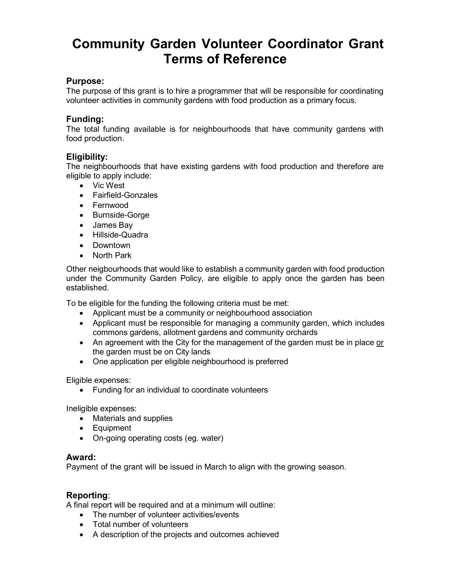# **Community Garden Volunteer Coordinator Grant Terms of Reference**

# **Purpose:**

The purpose of this grant is to hire a programmer that will be responsible for coordinating volunteer activities in community gardens with food production as a primary focus.

# **Funding:**

The total funding available is for neighbourhoods that have community gardens with food production.

# **Eligibility:**

The neighbourhoods that have existing gardens with food production and therefore are eligible to apply include:

- Vic West
- Fairfield-Gonzales
- Fernwood
- Burnside-Gorge
- James Bay
- Hillside-Quadra
- Downtown
- North Park

Other neigbourhoods that would like to establish a community garden with food production under the Community Garden Policy, are eligible to apply once the garden has been established.

To be eligible for the funding the following criteria must be met:

- Applicant must be a community or neighbourhood association
- Applicant must be responsible for managing a community garden, which includes commons gardens, allotment gardens and community orchards
- An agreement with the City for the management of the garden must be in place or the garden must be on City lands
- One application per eligible neighbourhood is preferred

Eligible expenses:

• Funding for an individual to coordinate volunteers

Ineligible expenses:

- Materials and supplies
- Equipment
- On-going operating costs (eg. water)

## **Award:**

Payment of the grant will be issued in March to align with the growing season.

# **Reporting**:

A final report will be required and at a minimum will outline:

- The number of volunteer activities/events
- Total number of volunteers
- A description of the projects and outcomes achieved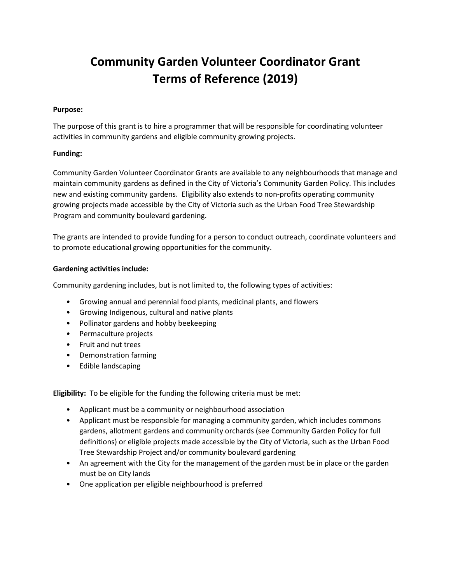# **Community Garden Volunteer Coordinator Grant Terms of Reference (2019)**

### **Purpose:**

The purpose of this grant is to hire a programmer that will be responsible for coordinating volunteer activities in community gardens and eligible community growing projects.

### **Funding:**

Community Garden Volunteer Coordinator Grants are available to any neighbourhoods that manage and maintain community gardens as defined in the City of Victoria's Community Garden Policy. This includes new and existing community gardens. Eligibility also extends to non-profits operating community growing projects made accessible by the City of Victoria such as the Urban Food Tree Stewardship Program and community boulevard gardening.

The grants are intended to provide funding for a person to conduct outreach, coordinate volunteers and to promote educational growing opportunities for the community.

### **Gardening activities include:**

Community gardening includes, but is not limited to, the following types of activities:

- Growing annual and perennial food plants, medicinal plants, and flowers
- Growing Indigenous, cultural and native plants
- Pollinator gardens and hobby beekeeping
- Permaculture projects
- Fruit and nut trees
- Demonstration farming
- Edible landscaping

**Eligibility:** To be eligible for the funding the following criteria must be met:

- Applicant must be a community or neighbourhood association
- Applicant must be responsible for managing a community garden, which includes commons gardens, allotment gardens and community orchards (see Community Garden Policy for full definitions) or eligible projects made accessible by the City of Victoria, such as the Urban Food Tree Stewardship Project and/or community boulevard gardening
- An agreement with the City for the management of the garden must be in place or the garden must be on City lands
- One application per eligible neighbourhood is preferred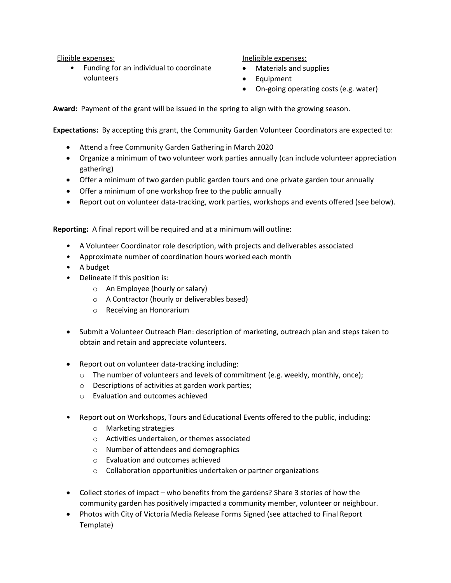Eligible expenses:

• Funding for an individual to coordinate volunteers

Ineligible expenses:

- Materials and supplies
- Equipment
- On-going operating costs (e.g. water)

**Award:** Payment of the grant will be issued in the spring to align with the growing season.

**Expectations:** By accepting this grant, the Community Garden Volunteer Coordinators are expected to:

- Attend a free Community Garden Gathering in March 2020
- Organize a minimum of two volunteer work parties annually (can include volunteer appreciation gathering)
- Offer a minimum of two garden public garden tours and one private garden tour annually
- Offer a minimum of one workshop free to the public annually
- Report out on volunteer data-tracking, work parties, workshops and events offered (see below).

**Reporting:** A final report will be required and at a minimum will outline:

- A Volunteer Coordinator role description, with projects and deliverables associated
- Approximate number of coordination hours worked each month
- A budget
- Delineate if this position is:
	- o An Employee (hourly or salary)
	- o A Contractor (hourly or deliverables based)
	- o Receiving an Honorarium
- Submit a Volunteer Outreach Plan: description of marketing, outreach plan and steps taken to obtain and retain and appreciate volunteers.
- Report out on volunteer data-tracking including:
	- $\circ$  The number of volunteers and levels of commitment (e.g. weekly, monthly, once);
	- o Descriptions of activities at garden work parties;
	- o Evaluation and outcomes achieved
- Report out on Workshops, Tours and Educational Events offered to the public, including:
	- o Marketing strategies
	- o Activities undertaken, or themes associated
	- o Number of attendees and demographics
	- o Evaluation and outcomes achieved
	- o Collaboration opportunities undertaken or partner organizations
- Collect stories of impact who benefits from the gardens? Share 3 stories of how the community garden has positively impacted a community member, volunteer or neighbour.
- Photos with City of Victoria Media Release Forms Signed (see attached to Final Report Template)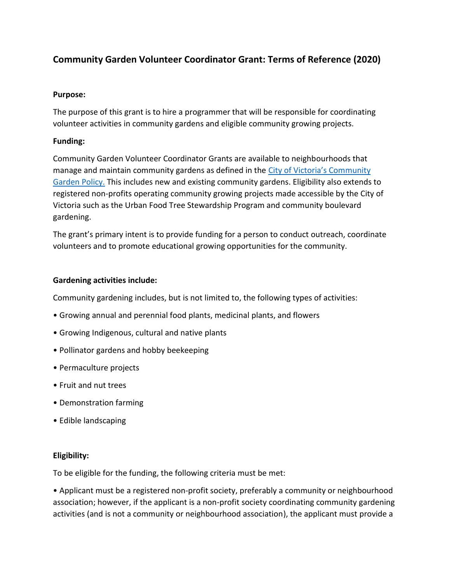# **Community Garden Volunteer Coordinator Grant: Terms of Reference (2020)**

## **Purpose:**

The purpose of this grant is to hire a programmer that will be responsible for coordinating volunteer activities in community gardens and eligible community growing projects.

# **Funding:**

Community Garden Volunteer Coordinator Grants are available to neighbourhoods that manage and maintain community gardens as defined in the City of Victoria's Community Garden Policy. This includes new and existing community gardens. Eligibility also extends to registered non-profits operating community growing projects made accessible by the City of Victoria such as the Urban Food Tree Stewardship Program and community boulevard gardening.

The grant's primary intent is to provide funding for a person to conduct outreach, coordinate volunteers and to promote educational growing opportunities for the community.

# **Gardening activities include:**

Community gardening includes, but is not limited to, the following types of activities:

- Growing annual and perennial food plants, medicinal plants, and flowers
- Growing Indigenous, cultural and native plants
- Pollinator gardens and hobby beekeeping
- Permaculture projects
- Fruit and nut trees
- Demonstration farming
- Edible landscaping

## **Eligibility:**

To be eligible for the funding, the following criteria must be met:

• Applicant must be a registered non-profit society, preferably a community or neighbourhood association; however, if the applicant is a non-profit society coordinating community gardening activities (and is not a community or neighbourhood association), the applicant must provide a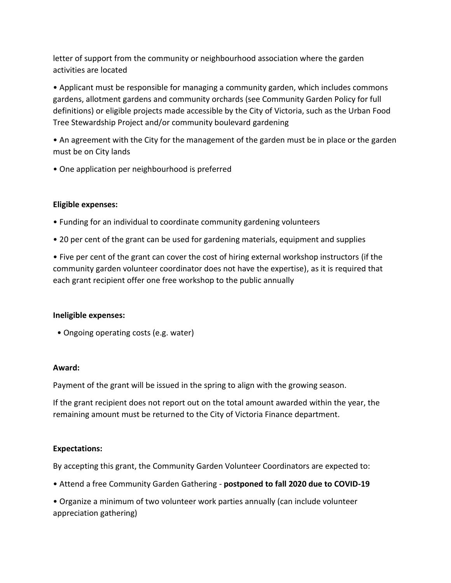letter of support from the community or neighbourhood association where the garden activities are located

• Applicant must be responsible for managing a community garden, which includes commons gardens, allotment gardens and community orchards (see Community Garden Policy for full definitions) or eligible projects made accessible by the City of Victoria, such as the Urban Food Tree Stewardship Project and/or community boulevard gardening

• An agreement with the City for the management of the garden must be in place or the garden must be on City lands

• One application per neighbourhood is preferred

# **Eligible expenses:**

- Funding for an individual to coordinate community gardening volunteers
- 20 per cent of the grant can be used for gardening materials, equipment and supplies

• Five per cent of the grant can cover the cost of hiring external workshop instructors (if the community garden volunteer coordinator does not have the expertise), as it is required that each grant recipient offer one free workshop to the public annually

## **Ineligible expenses:**

• Ongoing operating costs (e.g. water)

## **Award:**

Payment of the grant will be issued in the spring to align with the growing season.

If the grant recipient does not report out on the total amount awarded within the year, the remaining amount must be returned to the City of Victoria Finance department.

## **Expectations:**

By accepting this grant, the Community Garden Volunteer Coordinators are expected to:

• Attend a free Community Garden Gathering - **postponed to fall 2020 due to COVID-19**

• Organize a minimum of two volunteer work parties annually (can include volunteer appreciation gathering)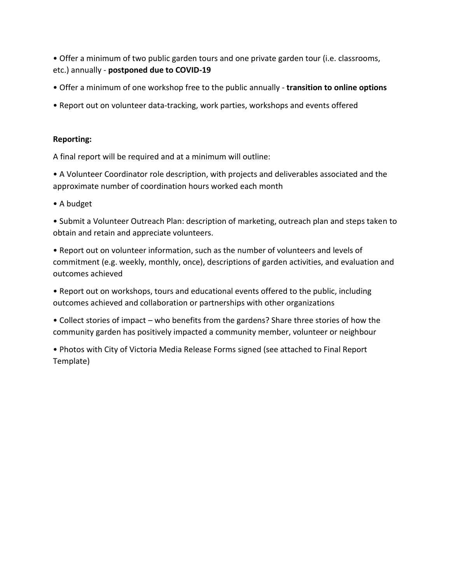• Offer a minimum of two public garden tours and one private garden tour (i.e. classrooms, etc.) annually - **postponed due to COVID-19**

- Offer a minimum of one workshop free to the public annually **transition to online options**
- Report out on volunteer data-tracking, work parties, workshops and events offered

# **Reporting:**

A final report will be required and at a minimum will outline:

• A Volunteer Coordinator role description, with projects and deliverables associated and the approximate number of coordination hours worked each month

• A budget

• Submit a Volunteer Outreach Plan: description of marketing, outreach plan and steps taken to obtain and retain and appreciate volunteers.

• Report out on volunteer information, such as the number of volunteers and levels of commitment (e.g. weekly, monthly, once), descriptions of garden activities, and evaluation and outcomes achieved

• Report out on workshops, tours and educational events offered to the public, including outcomes achieved and collaboration or partnerships with other organizations

• Collect stories of impact – who benefits from the gardens? Share three stories of how the community garden has positively impacted a community member, volunteer or neighbour

• Photos with City of Victoria Media Release Forms signed (see attached to Final Report Template)